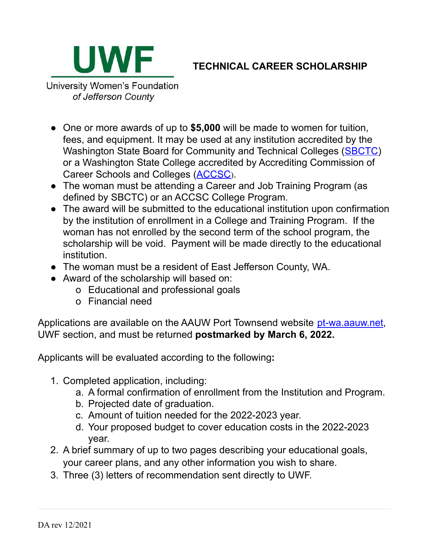

## **TECHNICAL CAREER SCHOLARSHIP**

University Women's Foundation of Jefferson County

- One or more awards of up to **\$5,000** will be made to women for tuition, fees, and equipment. It may be used at any institution accredited by the Washington State Board for Community and Technical Colleges [\(SBCTC\)](https://www.sbctc.edu/default.aspx) or a Washington State College accredited by Accrediting Commission of Career Schools and Colleges ([ACCSC](http://www.accsc.org/Directory/index.aspx)).
- The woman must be attending a Career and Job Training Program (as defined by SBCTC) or an ACCSC College Program.
- The award will be submitted to the educational institution upon confirmation by the institution of enrollment in a College and Training Program. If the woman has not enrolled by the second term of the school program, the scholarship will be void. Payment will be made directly to the educational institution.
- The woman must be a resident of East Jefferson County, WA.
- Award of the scholarship will based on:
	- o Educational and professional goals
	- o Financial need

Applications are available on the AAUW Port Townsend website [pt-wa.aauw.net](http://pt-wa.aauw.net), UWF section, and must be returned **postmarked by March 6, 2022.**

Applicants will be evaluated according to the following**:**

- 1. Completed application, including:
	- a. A formal confirmation of enrollment from the Institution and Program.
	- b. Projected date of graduation.
	- c. Amount of tuition needed for the 2022-2023 year.
	- d. Your proposed budget to cover education costs in the 2022-2023 year.
- 2. A brief summary of up to two pages describing your educational goals, your career plans, and any other information you wish to share.
- 3. Three (3) letters of recommendation sent directly to UWF.